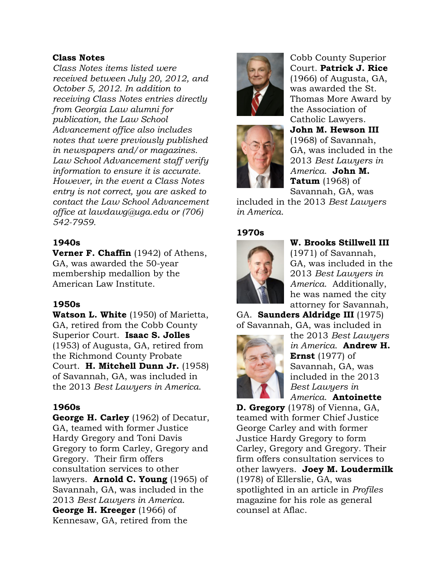#### **Class Notes**

*Class Notes items listed were received between July 20, 2012, and October 5, 2012. In addition to receiving Class Notes entries directly from Georgia Law alumni for publication, the Law School Advancement office also includes notes that were previously published in newspapers and/or magazines. Law School Advancement staff verify information to ensure it is accurate. However, in the event a Class Notes entry is not correct, you are asked to contact the Law School Advancement office at lawdawg@uga.edu or (706) 542-7959.*

## **1940s**

**Verner F. Chaffin** (1942) of Athens, GA, was awarded the 50-year membership medallion by the American Law Institute.

### **1950s**

**Watson L. White** (1950) of Marietta, GA, retired from the Cobb County Superior Court. **Isaac S. Jolles** (1953) of Augusta, GA, retired from the Richmond County Probate Court. **H. Mitchell Dunn Jr.** (1958) of Savannah, GA, was included in the 2013 *Best Lawyers in America*.

## **1960s**

**George H. Carley** (1962) of Decatur, GA, teamed with former Justice Hardy Gregory and Toni Davis Gregory to form Carley, Gregory and Gregory. Their firm offers consultation services to other lawyers. **Arnold C. Young** (1965) of Savannah, GA, was included in the 2013 *Best Lawyers in America*. **George H. Kreeger** (1966) of Kennesaw, GA, retired from the





Cobb County Superior Court. **Patrick J. Rice** (1966) of Augusta, GA, was awarded the St. Thomas More Award by the Association of Catholic Lawyers. **John M. Hewson III** (1968) of Savannah, GA, was included in the 2013 *Best Lawyers in America*. **John M. Tatum** (1968) of Savannah, GA, was

included in the 2013 *Best Lawyers in America*.

## **1970s**



**W. Brooks Stillwell III** (1971) of Savannah, GA, was included in the 2013 *Best Lawyers in America*. Additionally, he was named the city attorney for Savannah,

GA. **Saunders Aldridge III** (1975) of Savannah, GA, was included in



the 2013 *Best Lawyers in America*. **Andrew H. Ernst** (1977) of Savannah, GA, was included in the 2013 *Best Lawyers in America*. **Antoinette** 

**D. Gregory** (1978) of Vienna, GA, teamed with former Chief Justice George Carley and with former Justice Hardy Gregory to form Carley, Gregory and Gregory. Their firm offers consultation services to other lawyers. **Joey M. Loudermilk** (1978) of Ellerslie, GA, was spotlighted in an article in *Profiles* magazine for his role as general counsel at Aflac.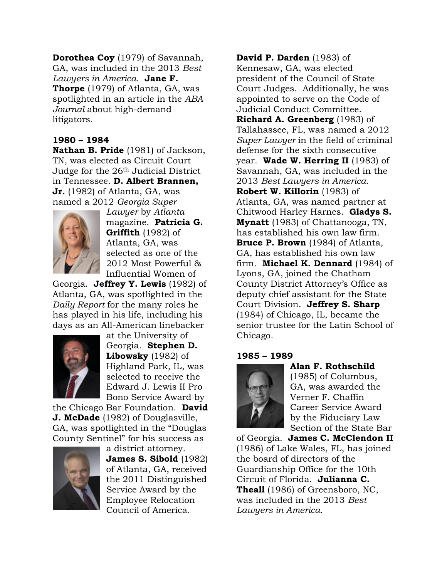**Dorothea Coy** (1979) of Savannah, GA, was included in the 2013 *Best Lawyers in America*. **Jane F. Thorpe** (1979) of Atlanta, GA, was spotlighted in an article in the *ABA Journal* about high-demand litigators.

## **1980 – 1984**

**Nathan B. Pride** (1981) of Jackson, TN, was elected as Circuit Court Judge for the 26th Judicial District in Tennessee. **D. Albert Brannen, Jr.** (1982) of Atlanta, GA, was named a 2012 *Georgia Super* 



*Lawyer* by *Atlanta* magazine. **Patricia G. Griffith** (1982) of Atlanta, GA, was selected as one of the 2012 Most Powerful & Influential Women of

Georgia. **Jeffrey Y. Lewis** (1982) of Atlanta, GA, was spotlighted in the *Daily Report* for the many roles he has played in his life, including his days as an All-American linebacker



at the University of Georgia. **Stephen D. Libowsky** (1982) of Highland Park, IL, was selected to receive the Edward J. Lewis II Pro Bono Service Award by

the Chicago Bar Foundation. **David J. McDade** (1982) of Douglasville, GA, was spotlighted in the "Douglas County Sentinel" for his success as



a district attorney. **James S. Sibold** (1982) of Atlanta, GA, received the 2011 Distinguished Service Award by the Employee Relocation Council of America.

**David P. Darden** (1983) of Kennesaw, GA, was elected president of the Council of State Court Judges. Additionally, he was appointed to serve on the Code of Judicial Conduct Committee. **Richard A. Greenberg** (1983) of Tallahassee, FL, was named a 2012 *Super Lawyer* in the field of criminal defense for the sixth consecutive year. **Wade W. Herring II** (1983) of Savannah, GA, was included in the 2013 *Best Lawyers in America*. **Robert W. Killorin** (1983) of Atlanta, GA, was named partner at Chitwood Harley Harnes. **Gladys S. Mynatt** (1983) of Chattanooga, TN, has established his own law firm. **Bruce P. Brown** (1984) of Atlanta, GA, has established his own law firm. **Michael K. Dennard** (1984) of Lyons, GA, joined the Chatham County District Attorney's Office as deputy chief assistant for the State Court Division. **Jeffrey S. Sharp** (1984) of Chicago, IL, became the senior trustee for the Latin School of Chicago.

#### **1985 – 1989**



### **Alan F. Rothschild**

(1985) of Columbus, GA, was awarded the Verner F. Chaffin Career Service Award by the Fiduciary Law Section of the State Bar

of Georgia. **James C. McClendon II** (1986) of Lake Wales, FL, has joined the board of directors of the Guardianship Office for the 10th Circuit of Florida. **Julianna C. Theall** (1986) of Greensboro, NC, was included in the 2013 *Best Lawyers in America*.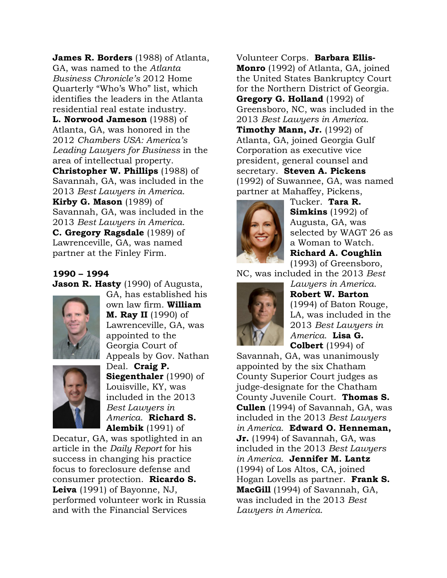**James R. Borders** (1988) of Atlanta, GA, was named to the *Atlanta Business Chronicle's* 2012 Home Quarterly "Who's Who" list, which identifies the leaders in the Atlanta residential real estate industry. **L. Norwood Jameson** (1988) of Atlanta, GA, was honored in the 2012 *Chambers USA: America's Leading Lawyers for Business* in the area of intellectual property. **Christopher W. Phillips** (1988) of Savannah, GA, was included in the 2013 *Best Lawyers in America*. **Kirby G. Mason** (1989) of Savannah, GA, was included in the 2013 *Best Lawyers in America*. **C. Gregory Ragsdale** (1989) of Lawrenceville, GA, was named partner at the Finley Firm.

#### **1990 – 1994**

**Jason R. Hasty** (1990) of Augusta,



GA, has established his own law firm. **William M. Ray II** (1990) of Lawrenceville, GA, was appointed to the Georgia Court of Appeals by Gov. Nathan Deal. **Craig P. Siegenthaler** (1990) of



Louisville, KY, was included in the 2013 *Best Lawyers in America*. **Richard S. Alembik** (1991) of

Decatur, GA, was spotlighted in an article in the *Daily Report* for his success in changing his practice focus to foreclosure defense and consumer protection. **Ricardo S. Leiva** (1991) of Bayonne, NJ, performed volunteer work in Russia and with the Financial Services

Volunteer Corps. **Barbara Ellis-Monro** (1992) of Atlanta, GA, joined the United States Bankruptcy Court for the Northern District of Georgia. **Gregory G. Holland** (1992) of Greensboro, NC, was included in the 2013 *Best Lawyers in America*. **Timothy Mann, Jr.** (1992) of Atlanta, GA, joined Georgia Gulf Corporation as executive vice president, general counsel and secretary. **Steven A. Pickens** (1992) of Suwannee, GA, was named partner at Mahaffey, Pickens,



Tucker. **Tara R. Simkins** (1992) of Augusta, GA, was selected by WAGT 26 as a Woman to Watch. **Richard A. Coughlin** (1993) of Greensboro,

NC, was included in the 2013 *Best* 



*Lawyers in America*. **Robert W. Barton** (1994) of Baton Rouge, LA, was included in the 2013 *Best Lawyers in America*. **Lisa G. Colbert** (1994) of

Savannah, GA, was unanimously appointed by the six Chatham County Superior Court judges as judge-designate for the Chatham County Juvenile Court. **Thomas S. Cullen** (1994) of Savannah, GA, was included in the 2013 *Best Lawyers in America*. **Edward O. Henneman, Jr.** (1994) of Savannah, GA, was included in the 2013 *Best Lawyers in America*. **Jennifer M. Lantz** (1994) of Los Altos, CA, joined Hogan Lovells as partner. **Frank S. MacGill** (1994) of Savannah, GA, was included in the 2013 *Best Lawyers in America*.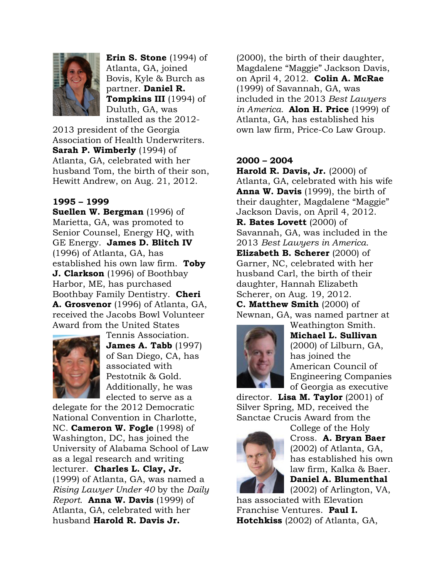

**Erin S. Stone** (1994) of Atlanta, GA, joined Bovis, Kyle & Burch as partner. **Daniel R. Tompkins III** (1994) of Duluth, GA, was installed as the 2012-

2013 president of the Georgia Association of Health Underwriters. **Sarah P. Wimberly** (1994) of Atlanta, GA, celebrated with her husband Tom, the birth of their son, Hewitt Andrew, on Aug. 21, 2012.

### **1995 – 1999**

**Suellen W. Bergman** (1996) of Marietta, GA, was promoted to Senior Counsel, Energy HQ, with GE Energy. **James D. Blitch IV** (1996) of Atlanta, GA, has established his own law firm. **Toby J. Clarkson** (1996) of Boothbay Harbor, ME, has purchased Boothbay Family Dentistry. **Cheri A. Grosvenor** (1996) of Atlanta, GA, received the Jacobs Bowl Volunteer Award from the United States



Tennis Association. **James A. Tabb** (1997) of San Diego, CA, has associated with Pestotnik & Gold. Additionally, he was elected to serve as a

delegate for the 2012 Democratic National Convention in Charlotte, NC. **Cameron W. Fogle** (1998) of Washington, DC, has joined the University of Alabama School of Law as a legal research and writing lecturer. **Charles L. Clay, Jr.** (1999) of Atlanta, GA, was named a *Rising Lawyer Under 40* by the *Daily Report*. **Anna W. Davis** (1999) of Atlanta, GA, celebrated with her husband **Harold R. Davis Jr.**

(2000), the birth of their daughter, Magdalene "Maggie" Jackson Davis, on April 4, 2012. **Colin A. McRae** (1999) of Savannah, GA, was included in the 2013 *Best Lawyers in America.* **Alon H. Price** (1999) of Atlanta, GA, has established his own law firm, Price-Co Law Group.

## **2000 – 2004**

**Harold R. Davis, Jr.** (2000) of Atlanta, GA, celebrated with his wife **Anna W. Davis** (1999), the birth of their daughter, Magdalene "Maggie" Jackson Davis, on April 4, 2012. **R. Bates Lovett** (2000) of Savannah, GA, was included in the 2013 *Best Lawyers in America*. **Elizabeth B. Scherer** (2000) of Garner, NC, celebrated with her husband Carl, the birth of their daughter, Hannah Elizabeth Scherer, on Aug. 19, 2012. **C. Matthew Smith** (2000) of Newnan, GA, was named partner at



Weathington Smith. **Michael L. Sullivan** (2000) of Lilburn, GA, has joined the American Council of Engineering Companies of Georgia as executive

director. **Lisa M. Taylor** (2001) of Silver Spring, MD, received the Sanctae Crucis Award from the



College of the Holy Cross. **A. Bryan Baer** (2002) of Atlanta, GA, has established his own law firm, Kalka & Baer. **Daniel A. Blumenthal**

(2002) of Arlington, VA, has associated with Elevation Franchise Ventures. **Paul I.** 

**Hotchkiss** (2002) of Atlanta, GA,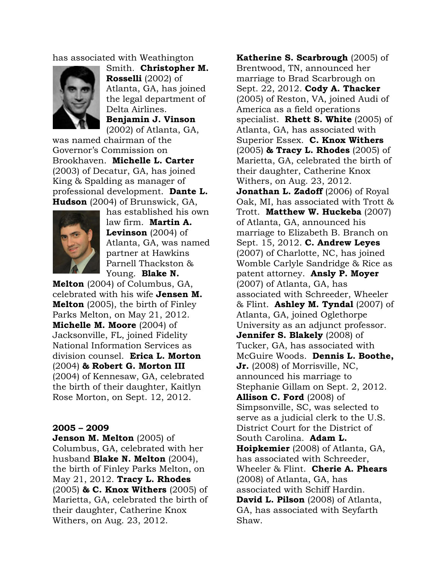has associated with Weathington



Smith. **Christopher M. Rosselli** (2002) of Atlanta, GA, has joined the legal department of Delta Airlines. **Benjamin J. Vinson**

(2002) of Atlanta, GA, was named chairman of the Governor's Commission on Brookhaven. **Michelle L. Carter** (2003) of Decatur, GA, has joined King & Spalding as manager of professional development. **Dante L. Hudson** (2004) of Brunswick, GA,



has established his own law firm. **Martin A. Levinson** (2004) of Atlanta, GA, was named partner at Hawkins Parnell Thackston & Young. **Blake N.** 

**Melton** (2004) of Columbus, GA, celebrated with his wife **Jensen M. Melton** (2005), the birth of Finley Parks Melton, on May 21, 2012. **Michelle M. Moore** (2004) of Jacksonville, FL, joined Fidelity National Information Services as division counsel. **Erica L. Morton**  (2004) **& Robert G. Morton III** (2004) of Kennesaw, GA, celebrated the birth of their daughter, Kaitlyn Rose Morton, on Sept. 12, 2012.

### **2005 – 2009**

**Jenson M. Melton** (2005) of Columbus, GA, celebrated with her husband **Blake N. Melton** (2004), the birth of Finley Parks Melton, on May 21, 2012. **Tracy L. Rhodes** (2005) **& C. Knox Withers** (2005) of Marietta, GA, celebrated the birth of their daughter, Catherine Knox Withers, on Aug. 23, 2012.

**Katherine S. Scarbrough** (2005) of Brentwood, TN, announced her marriage to Brad Scarbrough on Sept. 22, 2012. **Cody A. Thacker** (2005) of Reston, VA, joined Audi of America as a field operations specialist. **Rhett S. White** (2005) of Atlanta, GA, has associated with Superior Essex. **C. Knox Withers**  (2005) **& Tracy L. Rhodes** (2005) of Marietta, GA, celebrated the birth of their daughter, Catherine Knox Withers, on Aug. 23, 2012. **Jonathan L. Zadoff** (2006) of Royal Oak, MI, has associated with Trott & Trott. **Matthew W. Huckeba** (2007) of Atlanta, GA, announced his marriage to Elizabeth B. Branch on Sept. 15, 2012. **C. Andrew Leyes** (2007) of Charlotte, NC, has joined Womble Carlyle Sandridge & Rice as patent attorney. **Ansly P. Moyer** (2007) of Atlanta, GA, has associated with Schreeder, Wheeler & Flint. **Ashley M. Tyndal** (2007) of Atlanta, GA, joined Oglethorpe University as an adjunct professor. **Jennifer S. Blakely** (2008) of Tucker, GA, has associated with McGuire Woods. **Dennis L. Boothe, Jr.** (2008) of Morrisville, NC, announced his marriage to Stephanie Gillam on Sept. 2, 2012. **Allison C. Ford** (2008) of Simpsonville, SC, was selected to serve as a judicial clerk to the U.S. District Court for the District of South Carolina. **Adam L. Hoipkemier** (2008) of Atlanta, GA, has associated with Schreeder, Wheeler & Flint. **Cherie A. Phears** (2008) of Atlanta, GA, has associated with Schiff Hardin. **David L. Pilson** (2008) of Atlanta, GA, has associated with Seyfarth Shaw.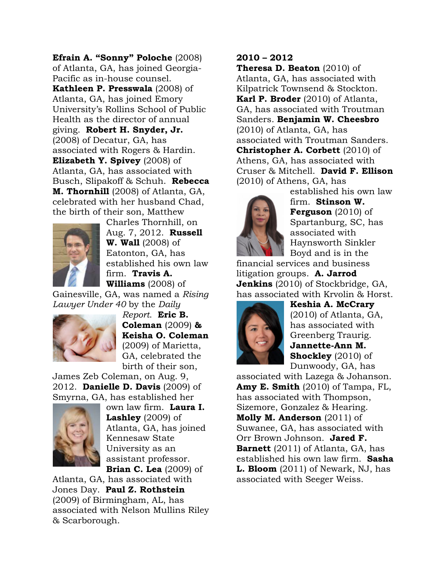**Efrain A. "Sonny" Poloche** (2008) of Atlanta, GA, has joined Georgia-Pacific as in-house counsel. **Kathleen P. Presswala** (2008) of Atlanta, GA, has joined Emory University's Rollins School of Public Health as the director of annual giving. **Robert H. Snyder, Jr.**  (2008) of Decatur, GA, has associated with Rogers & Hardin. **Elizabeth Y. Spivey** (2008) of Atlanta, GA, has associated with Busch, Slipakoff & Schuh. **Rebecca M. Thornhill** (2008) of Atlanta, GA, celebrated with her husband Chad, the birth of their son, Matthew



Charles Thornhill, on Aug. 7, 2012. **Russell W. Wall** (2008) of Eatonton, GA, has established his own law firm. **Travis A. Williams** (2008) of

Gainesville, GA, was named a *Rising Lawyer Under 40* by the *Daily* 



*Report*. **Eric B. Coleman** (2009) **& Keisha O. Coleman** (2009) of Marietta, GA, celebrated the birth of their son,

James Zeb Coleman, on Aug. 9, 2012. **Danielle D. Davis** (2009) of Smyrna, GA, has established her



own law firm. **Laura I. Lashley** (2009) of Atlanta, GA, has joined Kennesaw State University as an assistant professor. **Brian C. Lea** (2009) of

Atlanta, GA, has associated with Jones Day. **Paul Z. Rothstein** (2009) of Birmingham, AL, has associated with Nelson Mullins Riley & Scarborough.

# **2010 – 2012**

**Theresa D. Beaton** (2010) of Atlanta, GA, has associated with Kilpatrick Townsend & Stockton. **Karl P. Broder** (2010) of Atlanta, GA, has associated with Troutman Sanders. **Benjamin W. Cheesbro** (2010) of Atlanta, GA, has associated with Troutman Sanders. **Christopher A. Corbett** (2010) of Athens, GA, has associated with Cruser & Mitchell. **David F. Ellison** (2010) of Athens, GA, has



established his own law firm. **Stinson W. Ferguson** (2010) of Spartanburg, SC, has associated with Haynsworth Sinkler Boyd and is in the

financial services and business litigation groups. **A. Jarrod Jenkins** (2010) of Stockbridge, GA, has associated with Krvolin & Horst.



**Keshia A. McCrary** (2010) of Atlanta, GA, has associated with Greenberg Traurig. **Jannette-Ann M. Shockley** (2010) of Dunwoody, GA, has

associated with Lazega & Johanson. **Amy E. Smith** (2010) of Tampa, FL, has associated with Thompson, Sizemore, Gonzalez & Hearing. **Molly M. Anderson** (2011) of Suwanee, GA, has associated with Orr Brown Johnson. **Jared F. Barnett** (2011) of Atlanta, GA, has established his own law firm. **Sasha L. Bloom** (2011) of Newark, NJ, has associated with Seeger Weiss.